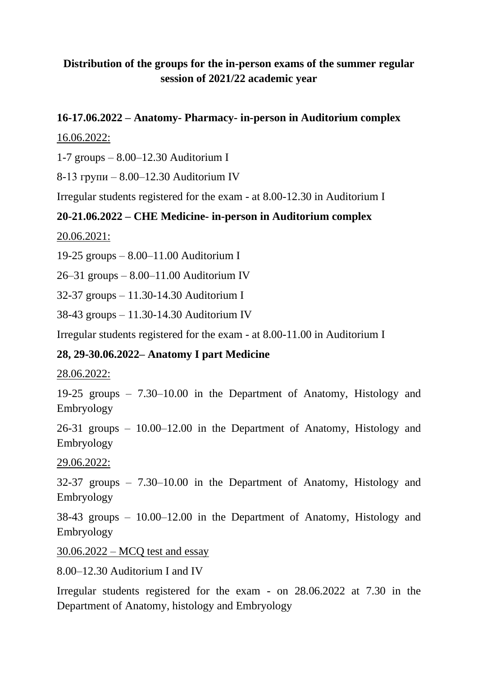# **Distribution of the groups for the in-person exams of the summer regular session of 2021/22 academic year**

### **16-17.06.2022 – Anatomy- Pharmacy- in-person in Auditorium complex**

#### 16.06.2022:

1-7 groups – 8.00–12.30 Auditorium I

8-13 групи – 8.00–12.30 Auditorium IV

Irregular students registered for the exam - at 8.00-12.30 in Auditorium I

#### **20-21.06.2022 – CHE Medicine- in-person in Auditorium complex**

20.06.2021:

19-25 groups – 8.00–11.00 Auditorium I

26–31 groups – 8.00–11.00 Auditorium IV

32-37 groups – 11.30-14.30 Auditorium I

38-43 groups – 11.30-14.30 Auditorium IV

Irregular students registered for the exam - at 8.00-11.00 in Auditorium I

## **28, 29-30.06.2022– Anatomy I part Medicine**

#### 28.06.2022:

19-25 groups – 7.30–10.00 in the Department of Anatomy, Histology and Embryology

26-31 groups – 10.00–12.00 in the Department of Anatomy, Histology and Embryology

29.06.2022:

32-37 groups – 7.30–10.00 in the Department of Anatomy, Histology and Embryology

38-43 groups – 10.00–12.00 in the Department of Anatomy, Histology and Embryology

30.06.2022 – MCQ test and essay

8.00–12.30 Auditorium I and IV

Irregular students registered for the exam - on 28.06.2022 at 7.30 in the Department of Anatomy, histology and Embryology